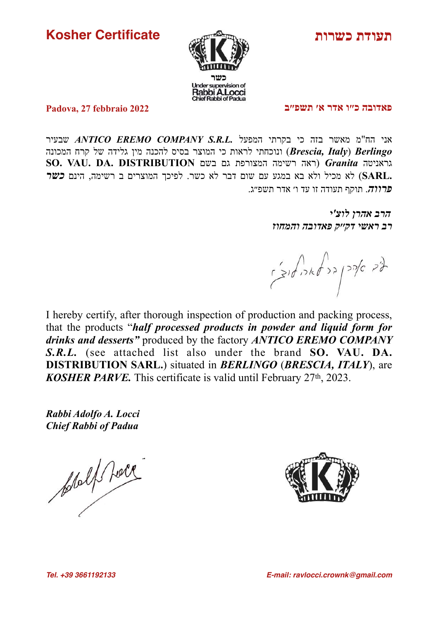**Kosher Certificate**



**תעודת כשרות**

**פאדובה כ״ו אדר א׳ תשפ״ב**

**Padova, 27 febbraio 2022**

אני הח"מ מאשר בזה כי בקרתי המפעל *.L.R.S COMPANY EREMO ANTICO* שבעיר *Berlingo*) *Italy ,Brescia* (ונוכחתי לראות כי המוצר בסיס להכנה מין גלידה של קרח המכונה גראניטה *Granita*) ראה רשימה המצורפת גם בשם **DISTRIBUTION .DA .VAU .SO .SARL** (לא מכיל ולא בא במגע עם שום דבר לא כשר. לפיכך המוצרים ב רשימה, הינם *כשר פרווה*. תוקף תעודה זו עד ו׳ אדר תשפ״ג.

> *הרב אהרן לוצ'י רב ראשי דק׳׳ק פאדובה והמחוז*

I hereby certify, after thorough inspection of production and packing process, that the products "*half processed products in powder and liquid form for drinks and desserts"* produced by the factory *ANTICO EREMO COMPANY S.R.L.* (see attached list also under the brand **SO. VAU. DA. DISTRIBUTION SARL.**) situated in *BERLINGO* (*BRESCIA, ITALY*), are *KOSHER PARVE.* This certificate is valid until February 27th, 2023.

*Rabbi Adolfo A. Locci Chief Rabbi of Padua*

pollet for

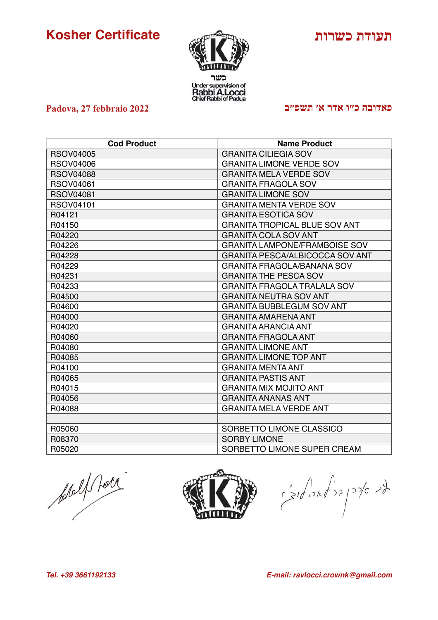## **Kosher Certificate**

**Padova, 27 febbraio 2022**



## **תעודת כשרות**

## **פאדובה כ״ו אדר א׳ תשפ״ב**

| <b>Cod Product</b> | <b>Name Product</b>                    |
|--------------------|----------------------------------------|
| <b>RSOV04005</b>   | <b>GRANITA CILIEGIA SOV</b>            |
| <b>RSOV04006</b>   | <b>GRANITA LIMONE VERDE SOV</b>        |
| <b>RSOV04088</b>   | <b>GRANITA MELA VERDE SOV</b>          |
| <b>RSOV04061</b>   | <b>GRANITA FRAGOLA SOV</b>             |
| <b>RSOV04081</b>   | <b>GRANITA LIMONE SOV</b>              |
| <b>RSOV04101</b>   | <b>GRANITA MENTA VERDE SOV</b>         |
| R04121             | <b>GRANITA ESOTICA SOV</b>             |
| R04150             | <b>GRANITA TROPICAL BLUE SOV ANT</b>   |
| R04220             | <b>GRANITA COLA SOV ANT</b>            |
| R04226             | <b>GRANITA LAMPONE/FRAMBOISE SOV</b>   |
| R04228             | <b>GRANITA PESCA/ALBICOCCA SOV ANT</b> |
| R04229             | <b>GRANITA FRAGOLA/BANANA SOV</b>      |
| R04231             | <b>GRANITA THE PESCA SOV</b>           |
| R04233             | <b>GRANITA FRAGOLA TRALALA SOV</b>     |
| R04500             | <b>GRANITA NEUTRA SOV ANT</b>          |
| R04600             | <b>GRANITA BUBBLEGUM SOV ANT</b>       |
| R04000             | <b>GRANITA AMARENA ANT</b>             |
| R04020             | <b>GRANITA ARANCIA ANT</b>             |
| R04060             | <b>GRANITA FRAGOLA ANT</b>             |
| R04080             | <b>GRANITA LIMONE ANT</b>              |
| R04085             | <b>GRANITA LIMONE TOP ANT</b>          |
| R04100             | <b>GRANITA MENTA ANT</b>               |
| R04065             | <b>GRANITA PASTIS ANT</b>              |
| R04015             | <b>GRANITA MIX MOJITO ANT</b>          |
| R04056             | <b>GRANITA ANANAS ANT</b>              |
| R04088             | <b>GRANITA MELA VERDE ANT</b>          |
|                    |                                        |
| R05060             | SORBETTO LIMONE CLASSICO               |
| R08370             | <b>SORBY LIMONE</b>                    |
| R05020             | SORBETTO LIMONE SUPER CREAM            |

plalf face